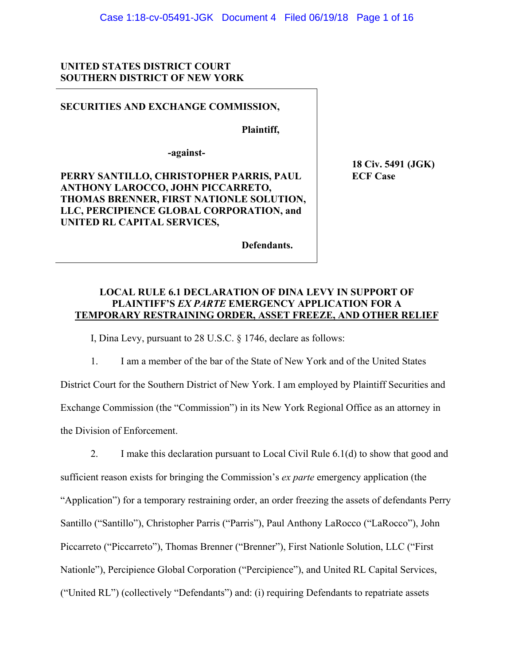### **UNITED STATES DISTRICT COURT SOUTHERN DISTRICT OF NEW YORK**

### **SECURITIES AND EXCHANGE COMMISSION,**

 **Plaintiff,** 

**-against-**

**PERRY SANTILLO, CHRISTOPHER PARRIS, PAUL ANTHONY LAROCCO, JOHN PICCARRETO, THOMAS BRENNER, FIRST NATIONLE SOLUTION, LLC, PERCIPIENCE GLOBAL CORPORATION, and UNITED RL CAPITAL SERVICES,** 

 **18 Civ. 5491 (JGK) ECF Case** 

 **Defendants.**

### **LOCAL RULE 6.1 DECLARATION OF DINA LEVY IN SUPPORT OF PLAINTIFF'S** *EX PARTE* **EMERGENCY APPLICATION FOR A TEMPORARY RESTRAINING ORDER, ASSET FREEZE, AND OTHER RELIEF**

I, Dina Levy, pursuant to 28 U.S.C. § 1746, declare as follows:

1. I am a member of the bar of the State of New York and of the United States District Court for the Southern District of New York. I am employed by Plaintiff Securities and Exchange Commission (the "Commission") in its New York Regional Office as an attorney in the Division of Enforcement.

2. I make this declaration pursuant to Local Civil Rule 6.1(d) to show that good and sufficient reason exists for bringing the Commission's *ex parte* emergency application (the "Application") for a temporary restraining order, an order freezing the assets of defendants Perry Santillo ("Santillo"), Christopher Parris ("Parris"), Paul Anthony LaRocco ("LaRocco"), John Piccarreto ("Piccarreto"), Thomas Brenner ("Brenner"), First Nationle Solution, LLC ("First Nationle"), Percipience Global Corporation ("Percipience"), and United RL Capital Services, ("United RL") (collectively "Defendants") and: (i) requiring Defendants to repatriate assets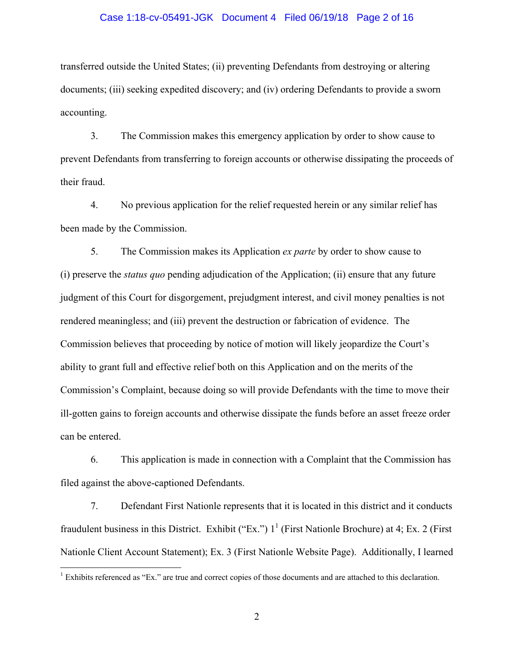### Case 1:18-cv-05491-JGK Document 4 Filed 06/19/18 Page 2 of 16

transferred outside the United States; (ii) preventing Defendants from destroying or altering documents; (iii) seeking expedited discovery; and (iv) ordering Defendants to provide a sworn accounting.

3. The Commission makes this emergency application by order to show cause to prevent Defendants from transferring to foreign accounts or otherwise dissipating the proceeds of their fraud.

4. No previous application for the relief requested herein or any similar relief has been made by the Commission.

5. The Commission makes its Application *ex parte* by order to show cause to (i) preserve the *status quo* pending adjudication of the Application; (ii) ensure that any future judgment of this Court for disgorgement, prejudgment interest, and civil money penalties is not rendered meaningless; and (iii) prevent the destruction or fabrication of evidence. The Commission believes that proceeding by notice of motion will likely jeopardize the Court's ability to grant full and effective relief both on this Application and on the merits of the Commission's Complaint, because doing so will provide Defendants with the time to move their ill-gotten gains to foreign accounts and otherwise dissipate the funds before an asset freeze order can be entered.

6. This application is made in connection with a Complaint that the Commission has filed against the above-captioned Defendants.

7. Defendant First Nationle represents that it is located in this district and it conducts fraudulent business in this District. Exhibit ("Ex.")  $1^1$  (First Nationle Brochure) at 4; Ex. 2 (First Nationle Client Account Statement); Ex. 3 (First Nationle Website Page). Additionally, I learned

<sup>&</sup>lt;sup>1</sup> Exhibits referenced as "Ex." are true and correct copies of those documents and are attached to this declaration.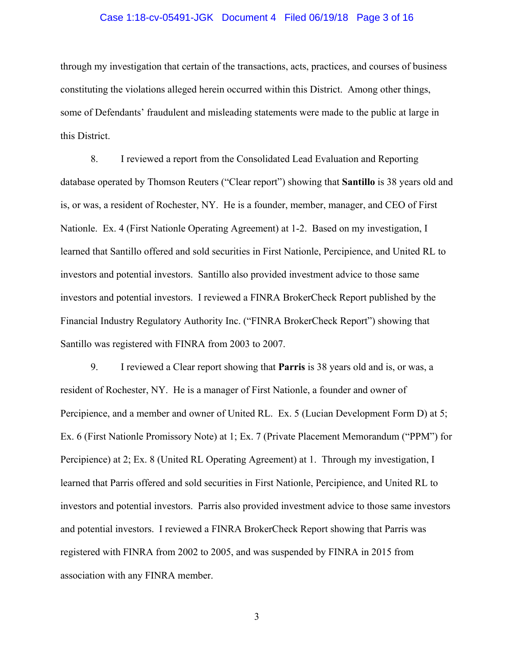# Case 1:18-cv-05491-JGK Document 4 Filed 06/19/18 Page 3 of 16

through my investigation that certain of the transactions, acts, practices, and courses of business constituting the violations alleged herein occurred within this District. Among other things, some of Defendants' fraudulent and misleading statements were made to the public at large in this District.

8. I reviewed a report from the Consolidated Lead Evaluation and Reporting database operated by Thomson Reuters ("Clear report") showing that **Santillo** is 38 years old and is, or was, a resident of Rochester, NY. He is a founder, member, manager, and CEO of First Nationle. Ex. 4 (First Nationle Operating Agreement) at 1-2. Based on my investigation, I learned that Santillo offered and sold securities in First Nationle, Percipience, and United RL to investors and potential investors. Santillo also provided investment advice to those same investors and potential investors. I reviewed a FINRA BrokerCheck Report published by the Financial Industry Regulatory Authority Inc. ("FINRA BrokerCheck Report") showing that Santillo was registered with FINRA from 2003 to 2007.

9. I reviewed a Clear report showing that **Parris** is 38 years old and is, or was, a resident of Rochester, NY. He is a manager of First Nationle, a founder and owner of Percipience, and a member and owner of United RL. Ex. 5 (Lucian Development Form D) at 5; Ex. 6 (First Nationle Promissory Note) at 1; Ex. 7 (Private Placement Memorandum ("PPM") for Percipience) at 2; Ex. 8 (United RL Operating Agreement) at 1. Through my investigation, I learned that Parris offered and sold securities in First Nationle, Percipience, and United RL to investors and potential investors. Parris also provided investment advice to those same investors and potential investors. I reviewed a FINRA BrokerCheck Report showing that Parris was registered with FINRA from 2002 to 2005, and was suspended by FINRA in 2015 from association with any FINRA member.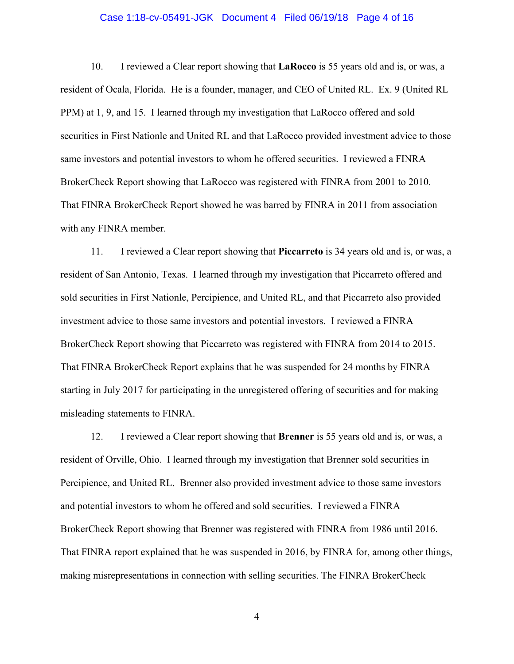## Case 1:18-cv-05491-JGK Document 4 Filed 06/19/18 Page 4 of 16

10. I reviewed a Clear report showing that **LaRocco** is 55 years old and is, or was, a resident of Ocala, Florida. He is a founder, manager, and CEO of United RL. Ex. 9 (United RL PPM) at 1, 9, and 15. I learned through my investigation that LaRocco offered and sold securities in First Nationle and United RL and that LaRocco provided investment advice to those same investors and potential investors to whom he offered securities. I reviewed a FINRA BrokerCheck Report showing that LaRocco was registered with FINRA from 2001 to 2010. That FINRA BrokerCheck Report showed he was barred by FINRA in 2011 from association with any FINRA member.

11. I reviewed a Clear report showing that **Piccarreto** is 34 years old and is, or was, a resident of San Antonio, Texas. I learned through my investigation that Piccarreto offered and sold securities in First Nationle, Percipience, and United RL, and that Piccarreto also provided investment advice to those same investors and potential investors. I reviewed a FINRA BrokerCheck Report showing that Piccarreto was registered with FINRA from 2014 to 2015. That FINRA BrokerCheck Report explains that he was suspended for 24 months by FINRA starting in July 2017 for participating in the unregistered offering of securities and for making misleading statements to FINRA.

12. I reviewed a Clear report showing that **Brenner** is 55 years old and is, or was, a resident of Orville, Ohio. I learned through my investigation that Brenner sold securities in Percipience, and United RL. Brenner also provided investment advice to those same investors and potential investors to whom he offered and sold securities. I reviewed a FINRA BrokerCheck Report showing that Brenner was registered with FINRA from 1986 until 2016. That FINRA report explained that he was suspended in 2016, by FINRA for, among other things, making misrepresentations in connection with selling securities. The FINRA BrokerCheck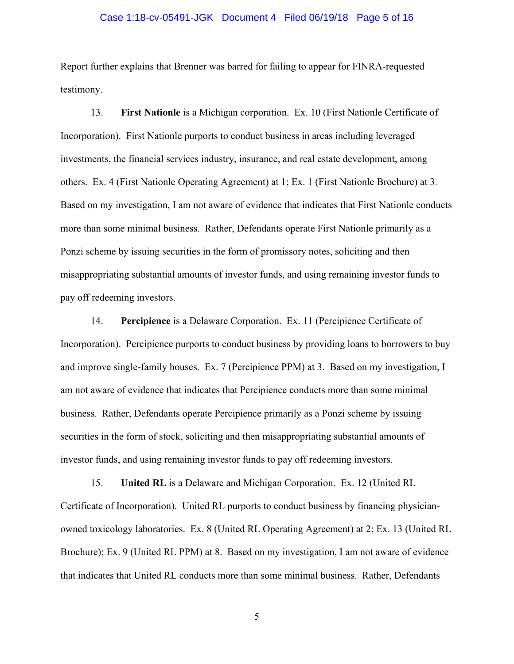#### Case 1:18-cv-05491-JGK Document 4 Filed 06/19/18 Page 5 of 16

Report further explains that Brenner was barred for failing to appear for FINRA-requested testimony.

13. **First Nationle** is a Michigan corporation. Ex. 10 (First Nationle Certificate of Incorporation). First Nationle purports to conduct business in areas including leveraged investments, the financial services industry, insurance, and real estate development, among others. Ex. 4 (First Nationle Operating Agreement) at 1; Ex. 1 (First Nationle Brochure) at 3. Based on my investigation, I am not aware of evidence that indicates that First Nationle conducts more than some minimal business. Rather, Defendants operate First Nationle primarily as a Ponzi scheme by issuing securities in the form of promissory notes, soliciting and then misappropriating substantial amounts of investor funds, and using remaining investor funds to pay off redeeming investors.

14. **Percipience** is a Delaware Corporation. Ex. 11 (Percipience Certificate of Incorporation). Percipience purports to conduct business by providing loans to borrowers to buy and improve single-family houses. Ex. 7 (Percipience PPM) at 3. Based on my investigation, I am not aware of evidence that indicates that Percipience conducts more than some minimal business. Rather, Defendants operate Percipience primarily as a Ponzi scheme by issuing securities in the form of stock, soliciting and then misappropriating substantial amounts of investor funds, and using remaining investor funds to pay off redeeming investors.

15. **United RL** is a Delaware and Michigan Corporation. Ex. 12 (United RL Certificate of Incorporation). United RL purports to conduct business by financing physicianowned toxicology laboratories. Ex. 8 (United RL Operating Agreement) at 2; Ex. 13 (United RL Brochure); Ex. 9 (United RL PPM) at 8. Based on my investigation, I am not aware of evidence that indicates that United RL conducts more than some minimal business. Rather, Defendants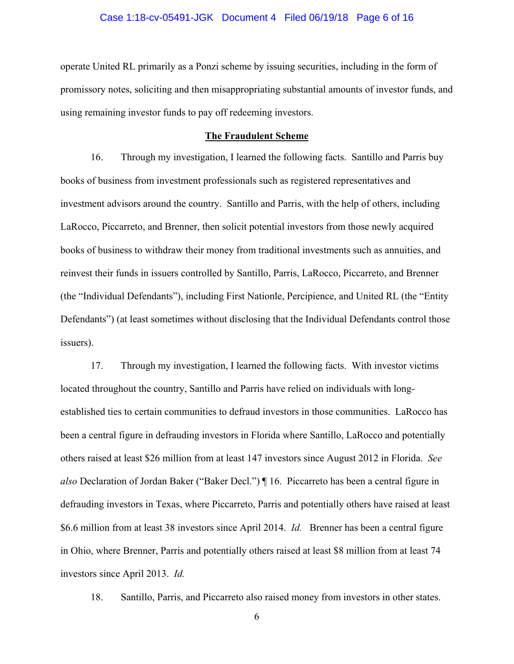# Case 1:18-cv-05491-JGK Document 4 Filed 06/19/18 Page 6 of 16

operate United RL primarily as a Ponzi scheme by issuing securities, including in the form of promissory notes, soliciting and then misappropriating substantial amounts of investor funds, and using remaining investor funds to pay off redeeming investors.

### **The Fraudulent Scheme**

16. Through my investigation, I learned the following facts. Santillo and Parris buy books of business from investment professionals such as registered representatives and investment advisors around the country. Santillo and Parris, with the help of others, including LaRocco, Piccarreto, and Brenner, then solicit potential investors from those newly acquired books of business to withdraw their money from traditional investments such as annuities, and reinvest their funds in issuers controlled by Santillo, Parris, LaRocco, Piccarreto, and Brenner (the "Individual Defendants"), including First Nationle, Percipience, and United RL (the "Entity Defendants") (at least sometimes without disclosing that the Individual Defendants control those issuers).

17. Through my investigation, I learned the following facts. With investor victims located throughout the country, Santillo and Parris have relied on individuals with longestablished ties to certain communities to defraud investors in those communities. LaRocco has been a central figure in defrauding investors in Florida where Santillo, LaRocco and potentially others raised at least \$26 million from at least 147 investors since August 2012 in Florida. *See also* Declaration of Jordan Baker ("Baker Decl.") ¶ 16. Piccarreto has been a central figure in defrauding investors in Texas, where Piccarreto, Parris and potentially others have raised at least \$6.6 million from at least 38 investors since April 2014. *Id.* Brenner has been a central figure in Ohio, where Brenner, Parris and potentially others raised at least \$8 million from at least 74 investors since April 2013. *Id.* 

18. Santillo, Parris, and Piccarreto also raised money from investors in other states.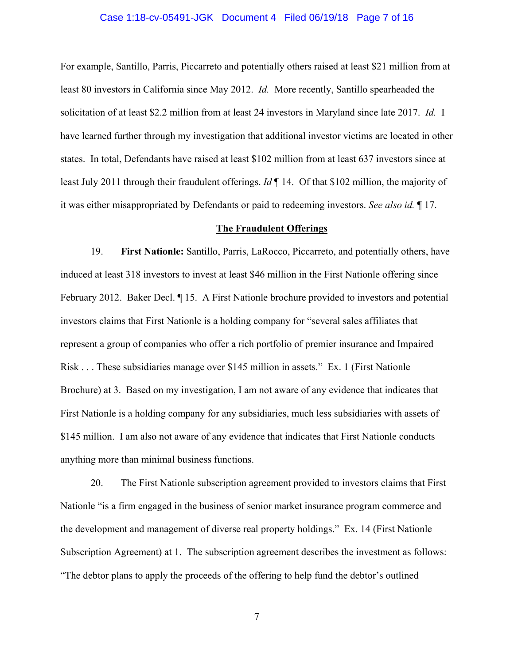# Case 1:18-cv-05491-JGK Document 4 Filed 06/19/18 Page 7 of 16

For example, Santillo, Parris, Piccarreto and potentially others raised at least \$21 million from at least 80 investors in California since May 2012. *Id.* More recently, Santillo spearheaded the solicitation of at least \$2.2 million from at least 24 investors in Maryland since late 2017. *Id.* I have learned further through my investigation that additional investor victims are located in other states. In total, Defendants have raised at least \$102 million from at least 637 investors since at least July 2011 through their fraudulent offerings. *Id* ¶ 14. Of that \$102 million, the majority of it was either misappropriated by Defendants or paid to redeeming investors. *See also id.* ¶ 17.

#### **The Fraudulent Offerings**

19. **First Nationle:** Santillo, Parris, LaRocco, Piccarreto, and potentially others, have induced at least 318 investors to invest at least \$46 million in the First Nationle offering since February 2012. Baker Decl. ¶ 15. A First Nationle brochure provided to investors and potential investors claims that First Nationle is a holding company for "several sales affiliates that represent a group of companies who offer a rich portfolio of premier insurance and Impaired Risk . . . These subsidiaries manage over \$145 million in assets." Ex. 1 (First Nationle Brochure) at 3. Based on my investigation, I am not aware of any evidence that indicates that First Nationle is a holding company for any subsidiaries, much less subsidiaries with assets of \$145 million. I am also not aware of any evidence that indicates that First Nationle conducts anything more than minimal business functions.

20. The First Nationle subscription agreement provided to investors claims that First Nationle "is a firm engaged in the business of senior market insurance program commerce and the development and management of diverse real property holdings." Ex. 14 (First Nationle Subscription Agreement) at 1. The subscription agreement describes the investment as follows: "The debtor plans to apply the proceeds of the offering to help fund the debtor's outlined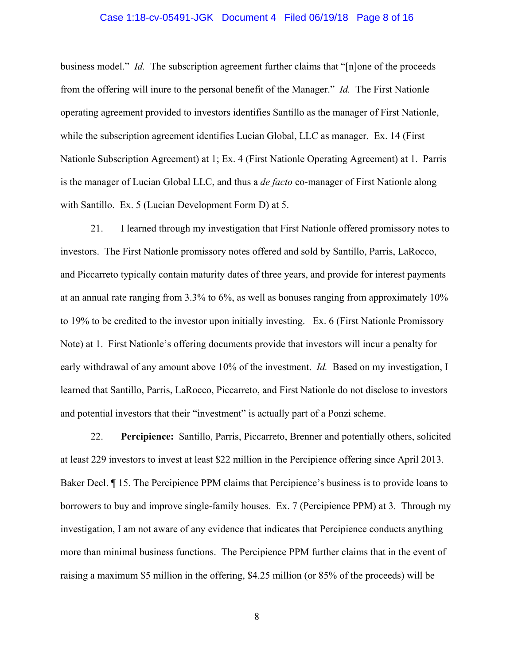### Case 1:18-cv-05491-JGK Document 4 Filed 06/19/18 Page 8 of 16

business model." *Id.* The subscription agreement further claims that "[n]one of the proceeds from the offering will inure to the personal benefit of the Manager." *Id.* The First Nationle operating agreement provided to investors identifies Santillo as the manager of First Nationle, while the subscription agreement identifies Lucian Global, LLC as manager. Ex. 14 (First Nationle Subscription Agreement) at 1; Ex. 4 (First Nationle Operating Agreement) at 1. Parris is the manager of Lucian Global LLC, and thus a *de facto* co-manager of First Nationle along with Santillo. Ex. 5 (Lucian Development Form D) at 5.

21. I learned through my investigation that First Nationle offered promissory notes to investors. The First Nationle promissory notes offered and sold by Santillo, Parris, LaRocco, and Piccarreto typically contain maturity dates of three years, and provide for interest payments at an annual rate ranging from 3.3% to 6%, as well as bonuses ranging from approximately 10% to 19% to be credited to the investor upon initially investing. Ex. 6 (First Nationle Promissory Note) at 1. First Nationle's offering documents provide that investors will incur a penalty for early withdrawal of any amount above 10% of the investment. *Id.* Based on my investigation, I learned that Santillo, Parris, LaRocco, Piccarreto, and First Nationle do not disclose to investors and potential investors that their "investment" is actually part of a Ponzi scheme.

22. **Percipience:** Santillo, Parris, Piccarreto, Brenner and potentially others, solicited at least 229 investors to invest at least \$22 million in the Percipience offering since April 2013. Baker Decl. ¶ 15. The Percipience PPM claims that Percipience's business is to provide loans to borrowers to buy and improve single-family houses. Ex. 7 (Percipience PPM) at 3. Through my investigation, I am not aware of any evidence that indicates that Percipience conducts anything more than minimal business functions. The Percipience PPM further claims that in the event of raising a maximum \$5 million in the offering, \$4.25 million (or 85% of the proceeds) will be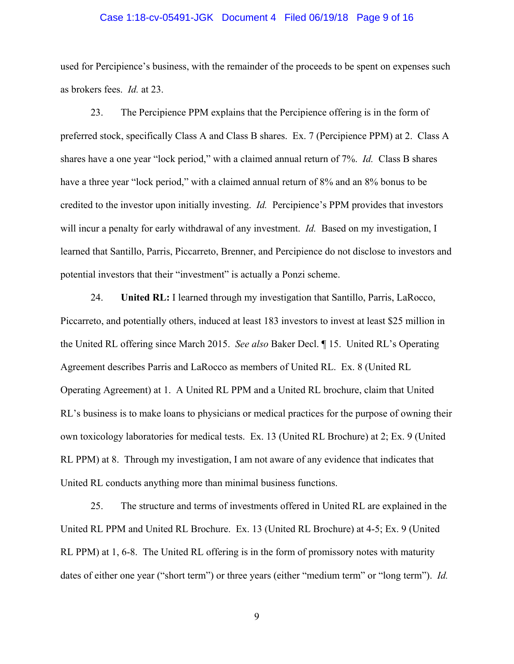# Case 1:18-cv-05491-JGK Document 4 Filed 06/19/18 Page 9 of 16

used for Percipience's business, with the remainder of the proceeds to be spent on expenses such as brokers fees. *Id.* at 23.

23. The Percipience PPM explains that the Percipience offering is in the form of preferred stock, specifically Class A and Class B shares. Ex. 7 (Percipience PPM) at 2. Class A shares have a one year "lock period," with a claimed annual return of 7%. *Id.* Class B shares have a three year "lock period," with a claimed annual return of 8% and an 8% bonus to be credited to the investor upon initially investing. *Id.* Percipience's PPM provides that investors will incur a penalty for early withdrawal of any investment. *Id.* Based on my investigation, I learned that Santillo, Parris, Piccarreto, Brenner, and Percipience do not disclose to investors and potential investors that their "investment" is actually a Ponzi scheme.

24. **United RL:** I learned through my investigation that Santillo, Parris, LaRocco, Piccarreto, and potentially others, induced at least 183 investors to invest at least \$25 million in the United RL offering since March 2015. *See also* Baker Decl. ¶ 15. United RL's Operating Agreement describes Parris and LaRocco as members of United RL. Ex. 8 (United RL Operating Agreement) at 1. A United RL PPM and a United RL brochure, claim that United RL's business is to make loans to physicians or medical practices for the purpose of owning their own toxicology laboratories for medical tests. Ex. 13 (United RL Brochure) at 2; Ex. 9 (United RL PPM) at 8. Through my investigation, I am not aware of any evidence that indicates that United RL conducts anything more than minimal business functions.

25. The structure and terms of investments offered in United RL are explained in the United RL PPM and United RL Brochure. Ex. 13 (United RL Brochure) at 4-5; Ex. 9 (United RL PPM) at 1, 6-8. The United RL offering is in the form of promissory notes with maturity dates of either one year ("short term") or three years (either "medium term" or "long term"). *Id.*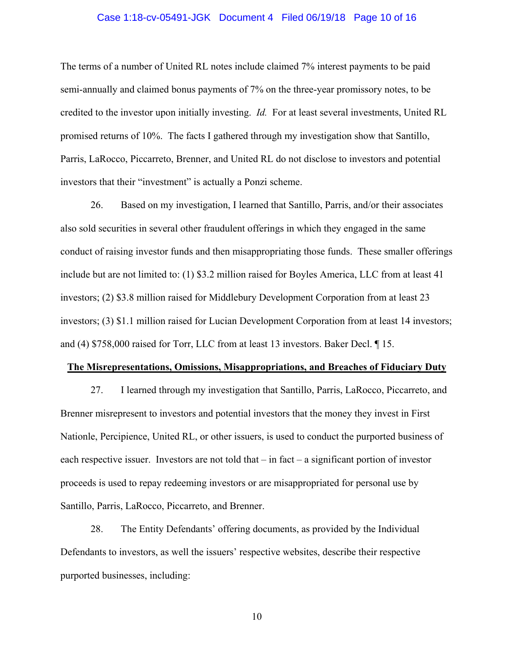### Case 1:18-cv-05491-JGK Document 4 Filed 06/19/18 Page 10 of 16

The terms of a number of United RL notes include claimed 7% interest payments to be paid semi-annually and claimed bonus payments of 7% on the three-year promissory notes, to be credited to the investor upon initially investing. *Id.* For at least several investments, United RL promised returns of 10%. The facts I gathered through my investigation show that Santillo, Parris, LaRocco, Piccarreto, Brenner, and United RL do not disclose to investors and potential investors that their "investment" is actually a Ponzi scheme.

26. Based on my investigation, I learned that Santillo, Parris, and/or their associates also sold securities in several other fraudulent offerings in which they engaged in the same conduct of raising investor funds and then misappropriating those funds. These smaller offerings include but are not limited to: (1) \$3.2 million raised for Boyles America, LLC from at least 41 investors; (2) \$3.8 million raised for Middlebury Development Corporation from at least 23 investors; (3) \$1.1 million raised for Lucian Development Corporation from at least 14 investors; and (4) \$758,000 raised for Torr, LLC from at least 13 investors. Baker Decl. ¶ 15.

#### **The Misrepresentations, Omissions, Misappropriations, and Breaches of Fiduciary Duty**

27. I learned through my investigation that Santillo, Parris, LaRocco, Piccarreto, and Brenner misrepresent to investors and potential investors that the money they invest in First Nationle, Percipience, United RL, or other issuers, is used to conduct the purported business of each respective issuer. Investors are not told that – in fact – a significant portion of investor proceeds is used to repay redeeming investors or are misappropriated for personal use by Santillo, Parris, LaRocco, Piccarreto, and Brenner.

28. The Entity Defendants' offering documents, as provided by the Individual Defendants to investors, as well the issuers' respective websites, describe their respective purported businesses, including: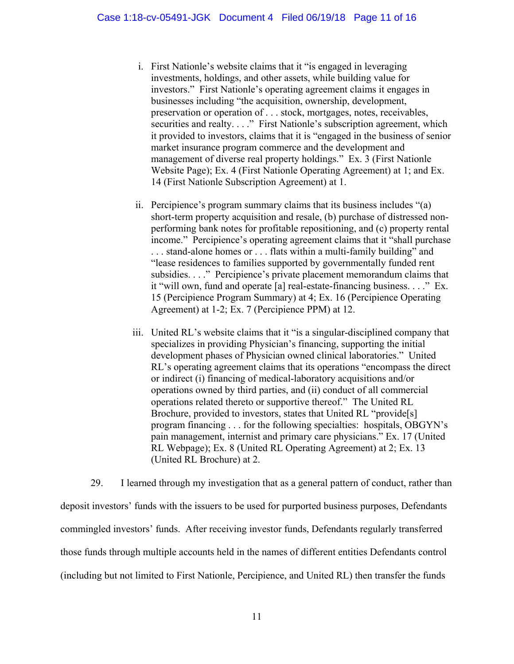- i. First Nationle's website claims that it "is engaged in leveraging investments, holdings, and other assets, while building value for investors." First Nationle's operating agreement claims it engages in businesses including "the acquisition, ownership, development, preservation or operation of . . . stock, mortgages, notes, receivables, securities and realty. . . ." First Nationle's subscription agreement, which it provided to investors, claims that it is "engaged in the business of senior market insurance program commerce and the development and management of diverse real property holdings." Ex. 3 (First Nationle Website Page); Ex. 4 (First Nationle Operating Agreement) at 1; and Ex. 14 (First Nationle Subscription Agreement) at 1.
- ii. Percipience's program summary claims that its business includes "(a) short-term property acquisition and resale, (b) purchase of distressed nonperforming bank notes for profitable repositioning, and (c) property rental income." Percipience's operating agreement claims that it "shall purchase . . . stand-alone homes or . . . flats within a multi-family building" and "lease residences to families supported by governmentally funded rent subsidies. . . ." Percipience's private placement memorandum claims that it "will own, fund and operate [a] real-estate-financing business. . . ." Ex. 15 (Percipience Program Summary) at 4; Ex. 16 (Percipience Operating Agreement) at 1-2; Ex. 7 (Percipience PPM) at 12.
- iii. United RL's website claims that it "is a singular-disciplined company that specializes in providing Physician's financing, supporting the initial development phases of Physician owned clinical laboratories." United RL's operating agreement claims that its operations "encompass the direct or indirect (i) financing of medical-laboratory acquisitions and/or operations owned by third parties, and (ii) conduct of all commercial operations related thereto or supportive thereof." The United RL Brochure, provided to investors, states that United RL "provide[s] program financing . . . for the following specialties: hospitals, OBGYN's pain management, internist and primary care physicians." Ex. 17 (United RL Webpage); Ex. 8 (United RL Operating Agreement) at 2; Ex. 13 (United RL Brochure) at 2.

29. I learned through my investigation that as a general pattern of conduct, rather than deposit investors' funds with the issuers to be used for purported business purposes, Defendants commingled investors' funds. After receiving investor funds, Defendants regularly transferred those funds through multiple accounts held in the names of different entities Defendants control (including but not limited to First Nationle, Percipience, and United RL) then transfer the funds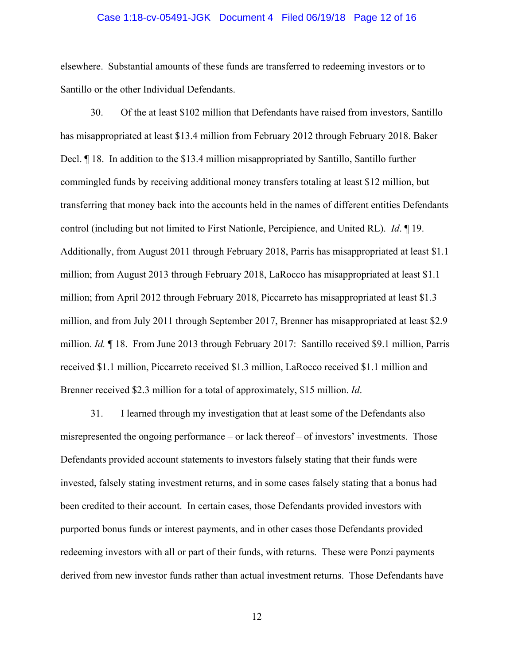### Case 1:18-cv-05491-JGK Document 4 Filed 06/19/18 Page 12 of 16

elsewhere. Substantial amounts of these funds are transferred to redeeming investors or to Santillo or the other Individual Defendants.

30. Of the at least \$102 million that Defendants have raised from investors, Santillo has misappropriated at least \$13.4 million from February 2012 through February 2018. Baker Decl. ¶ 18. In addition to the \$13.4 million misappropriated by Santillo, Santillo further commingled funds by receiving additional money transfers totaling at least \$12 million, but transferring that money back into the accounts held in the names of different entities Defendants control (including but not limited to First Nationle, Percipience, and United RL). *Id*. ¶ 19. Additionally, from August 2011 through February 2018, Parris has misappropriated at least \$1.1 million; from August 2013 through February 2018, LaRocco has misappropriated at least \$1.1 million; from April 2012 through February 2018, Piccarreto has misappropriated at least \$1.3 million, and from July 2011 through September 2017, Brenner has misappropriated at least \$2.9 million. *Id.* ¶ 18. From June 2013 through February 2017: Santillo received \$9.1 million, Parris received \$1.1 million, Piccarreto received \$1.3 million, LaRocco received \$1.1 million and Brenner received \$2.3 million for a total of approximately, \$15 million. *Id*.

31. I learned through my investigation that at least some of the Defendants also misrepresented the ongoing performance – or lack thereof – of investors' investments. Those Defendants provided account statements to investors falsely stating that their funds were invested, falsely stating investment returns, and in some cases falsely stating that a bonus had been credited to their account. In certain cases, those Defendants provided investors with purported bonus funds or interest payments, and in other cases those Defendants provided redeeming investors with all or part of their funds, with returns. These were Ponzi payments derived from new investor funds rather than actual investment returns. Those Defendants have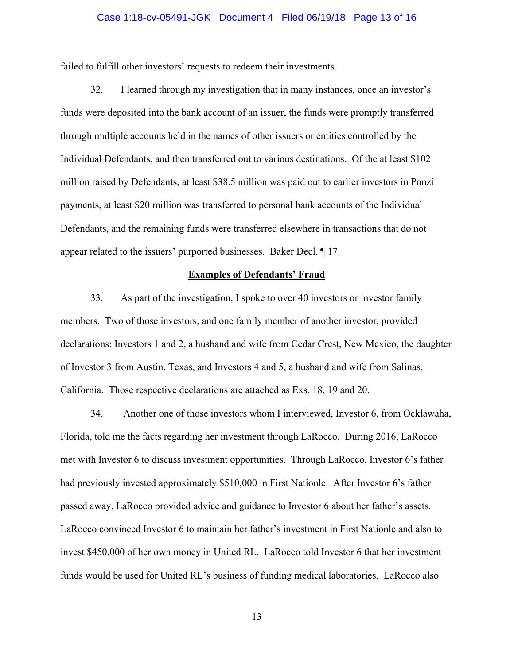### Case 1:18-cv-05491-JGK Document 4 Filed 06/19/18 Page 13 of 16

failed to fulfill other investors' requests to redeem their investments.

32. I learned through my investigation that in many instances, once an investor's funds were deposited into the bank account of an issuer, the funds were promptly transferred through multiple accounts held in the names of other issuers or entities controlled by the Individual Defendants, and then transferred out to various destinations. Of the at least \$102 million raised by Defendants, at least \$38.5 million was paid out to earlier investors in Ponzi payments, at least \$20 million was transferred to personal bank accounts of the Individual Defendants, and the remaining funds were transferred elsewhere in transactions that do not appear related to the issuers' purported businesses. Baker Decl. ¶ 17.

### **Examples of Defendants' Fraud**

33. As part of the investigation, I spoke to over 40 investors or investor family members. Two of those investors, and one family member of another investor, provided declarations: Investors 1 and 2, a husband and wife from Cedar Crest, New Mexico, the daughter of Investor 3 from Austin, Texas, and Investors 4 and 5, a husband and wife from Salinas, California. Those respective declarations are attached as Exs. 18, 19 and 20.

34. Another one of those investors whom I interviewed, Investor 6, from Ocklawaha, Florida, told me the facts regarding her investment through LaRocco. During 2016, LaRocco met with Investor 6 to discuss investment opportunities. Through LaRocco, Investor 6's father had previously invested approximately \$510,000 in First Nationle. After Investor 6's father passed away, LaRocco provided advice and guidance to Investor 6 about her father's assets. LaRocco convinced Investor 6 to maintain her father's investment in First Nationle and also to invest \$450,000 of her own money in United RL. LaRocco told Investor 6 that her investment funds would be used for United RL's business of funding medical laboratories. LaRocco also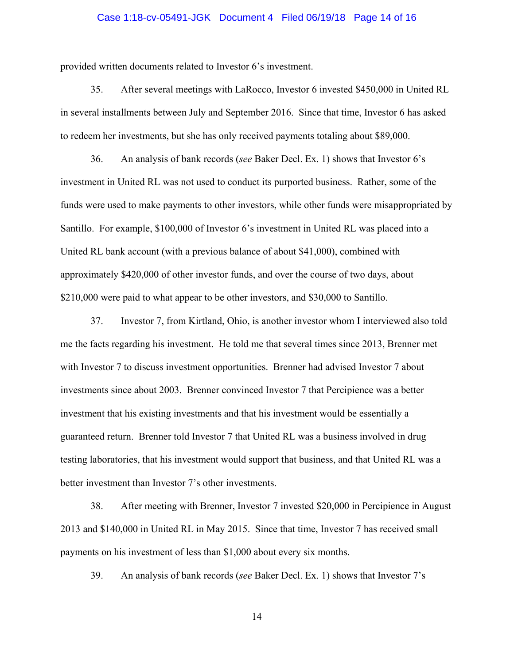### Case 1:18-cv-05491-JGK Document 4 Filed 06/19/18 Page 14 of 16

provided written documents related to Investor 6's investment.

35. After several meetings with LaRocco, Investor 6 invested \$450,000 in United RL in several installments between July and September 2016. Since that time, Investor 6 has asked to redeem her investments, but she has only received payments totaling about \$89,000.

36. An analysis of bank records (*see* Baker Decl. Ex. 1) shows that Investor 6's investment in United RL was not used to conduct its purported business. Rather, some of the funds were used to make payments to other investors, while other funds were misappropriated by Santillo. For example, \$100,000 of Investor 6's investment in United RL was placed into a United RL bank account (with a previous balance of about \$41,000), combined with approximately \$420,000 of other investor funds, and over the course of two days, about \$210,000 were paid to what appear to be other investors, and \$30,000 to Santillo.

37. Investor 7, from Kirtland, Ohio, is another investor whom I interviewed also told me the facts regarding his investment. He told me that several times since 2013, Brenner met with Investor 7 to discuss investment opportunities. Brenner had advised Investor 7 about investments since about 2003. Brenner convinced Investor 7 that Percipience was a better investment that his existing investments and that his investment would be essentially a guaranteed return. Brenner told Investor 7 that United RL was a business involved in drug testing laboratories, that his investment would support that business, and that United RL was a better investment than Investor 7's other investments.

38. After meeting with Brenner, Investor 7 invested \$20,000 in Percipience in August 2013 and \$140,000 in United RL in May 2015. Since that time, Investor 7 has received small payments on his investment of less than \$1,000 about every six months.

39. An analysis of bank records (*see* Baker Decl. Ex. 1) shows that Investor 7's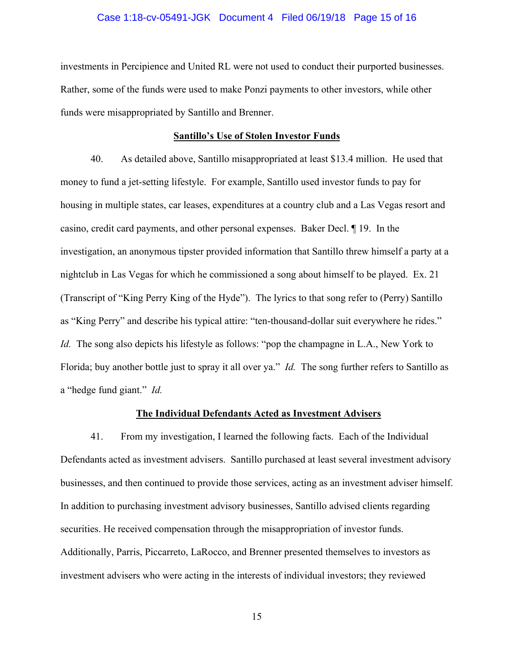### Case 1:18-cv-05491-JGK Document 4 Filed 06/19/18 Page 15 of 16

investments in Percipience and United RL were not used to conduct their purported businesses. Rather, some of the funds were used to make Ponzi payments to other investors, while other funds were misappropriated by Santillo and Brenner.

### **Santillo's Use of Stolen Investor Funds**

40. As detailed above, Santillo misappropriated at least \$13.4 million. He used that money to fund a jet-setting lifestyle. For example, Santillo used investor funds to pay for housing in multiple states, car leases, expenditures at a country club and a Las Vegas resort and casino, credit card payments, and other personal expenses.Baker Decl. ¶ 19. In the investigation, an anonymous tipster provided information that Santillo threw himself a party at a nightclub in Las Vegas for which he commissioned a song about himself to be played. Ex. 21 (Transcript of "King Perry King of the Hyde"). The lyrics to that song refer to (Perry) Santillo as "King Perry" and describe his typical attire: "ten-thousand-dollar suit everywhere he rides." *Id.* The song also depicts his lifestyle as follows: "pop the champagne in L.A., New York to Florida; buy another bottle just to spray it all over ya." *Id.* The song further refers to Santillo as a "hedge fund giant." *Id.*

### **The Individual Defendants Acted as Investment Advisers**

41. From my investigation, I learned the following facts. Each of the Individual Defendants acted as investment advisers. Santillo purchased at least several investment advisory businesses, and then continued to provide those services, acting as an investment adviser himself. In addition to purchasing investment advisory businesses, Santillo advised clients regarding securities. He received compensation through the misappropriation of investor funds. Additionally, Parris, Piccarreto, LaRocco, and Brenner presented themselves to investors as investment advisers who were acting in the interests of individual investors; they reviewed